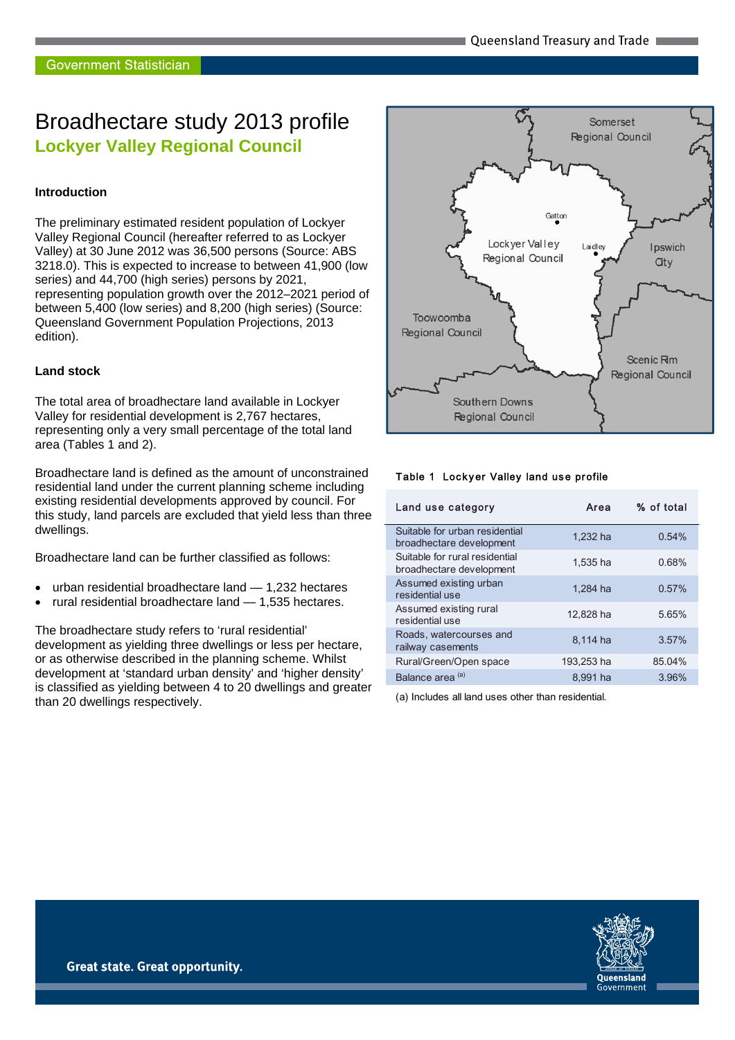# Broadhectare study 2013 profile **Lockyer Valley Regional Council**

#### **Introduction**

The preliminary estimated resident population of Lockyer Valley Regional Council (hereafter referred to as Lockyer Valley) at 30 June 2012 was 36,500 persons (Source: ABS 3218.0). This is expected to increase to between 41,900 (low series) and 44,700 (high series) persons by 2021, representing population growth over the 2012–2021 period of between 5,400 (low series) and 8,200 (high series) (Source: Queensland Government Population Projections, 2013 edition).

#### **Land stock**

The total area of broadhectare land available in Lockyer Valley for residential development is 2,767 hectares, representing only a very small percentage of the total land area (Tables 1 and 2).

Broadhectare land is defined as the amount of unconstrained residential land under the current planning scheme including existing residential developments approved by council. For this study, land parcels are excluded that yield less than three dwellings.

Broadhectare land can be further classified as follows:

- urban residential broadhectare land 1,232 hectares
- rural residential broadhectare land 1,535 hectares.

The broadhectare study refers to 'rural residential' development as yielding three dwellings or less per hectare, or as otherwise described in the planning scheme. Whilst development at 'standard urban density' and 'higher density' is classified as yielding between 4 to 20 dwellings and greater than 20 dwellings respectively.



#### Table 1 Lockyer Valley land use profile

| Land use category                                          | Area       | % of total |
|------------------------------------------------------------|------------|------------|
| Suitable for urban residential<br>broadhectare development | 1.232 ha   | 0.54%      |
| Suitable for rural residential<br>broadhectare development | 1.535 ha   | 0.68%      |
| Assumed existing urban<br>residential use                  | 1,284 ha   | 0.57%      |
| Assumed existing rural<br>residential use                  | 12,828 ha  | 5.65%      |
| Roads, watercourses and<br>railway casements               | 8.114 ha   | 3.57%      |
| Rural/Green/Open space                                     | 193,253 ha | 85.04%     |
| Balance area <sup>(a)</sup>                                | 8,991 ha   | 3.96%      |
|                                                            |            |            |

(a) Includes all land uses other than residential.

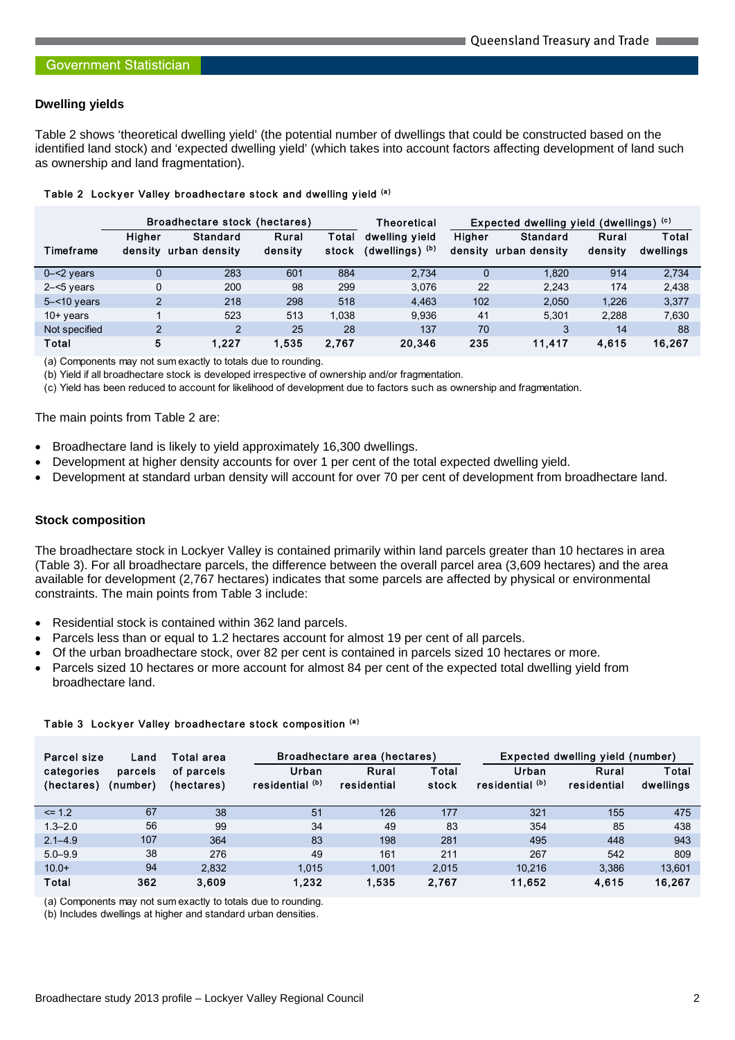#### **Dwelling yields**

Table 2 shows 'theoretical dwelling yield' (the potential number of dwellings that could be constructed based on the identified land stock) and 'expected dwelling yield' (which takes into account factors affecting development of land such as ownership and land fragmentation).

|                |                   | Broadhectare stock (hectares)    |                  |                | <b>Theoretical</b>                |                   | Expected dwelling yield (dwellings) (c) |                  |                    |
|----------------|-------------------|----------------------------------|------------------|----------------|-----------------------------------|-------------------|-----------------------------------------|------------------|--------------------|
| Timeframe      | Higher<br>density | <b>Standard</b><br>urban density | Rural<br>density | Total<br>stock | dwelling yield<br>(dwellings) (b) | Higher<br>density | <b>Standard</b><br>urban density        | Rural<br>density | Total<br>dwellings |
| $0 - 2$ years  |                   | 283                              | 601              | 884            | 2.734                             | $\Omega$          | 1,820                                   | 914              | 2.734              |
| $2 - 5$ years  |                   | 200                              | 98               | 299            | 3.076                             | 22                | 2.243                                   | 174              | 2,438              |
| $5 - 10$ years | $\mathcal{P}$     | 218                              | 298              | 518            | 4.463                             | 102               | 2.050                                   | 1,226            | 3.377              |
| $10+$ years    |                   | 523                              | 513              | 1.038          | 9.936                             | 41                | 5.301                                   | 2.288            | 7,630              |
| Not specified  | $\mathcal{P}$     | 2                                | 25               | 28             | 137                               | 70                | 3                                       | 14               | 88                 |
| Total          | 5                 | 1.227                            | 1.535            | 2.767          | 20.346                            | 235               | 11.417                                  | 4,615            | 16,267             |

#### Table 2 Lockyer Valley broadhectare stock and dwelling yield (a)

(a) Components may not sum exactly to totals due to rounding.

(b) Yield if all broadhectare stock is developed irrespective of ownership and/or fragmentation.

(c) Yield has been reduced to account for likelihood of development due to factors such as ownership and fragmentation.

#### The main points from Table 2 are:

- Broadhectare land is likely to yield approximately 16,300 dwellings.
- Development at higher density accounts for over 1 per cent of the total expected dwelling yield.
- Development at standard urban density will account for over 70 per cent of development from broadhectare land.

#### **Stock composition**

The broadhectare stock in Lockyer Valley is contained primarily within land parcels greater than 10 hectares in area (Table 3). For all broadhectare parcels, the difference between the overall parcel area (3,609 hectares) and the area available for development (2,767 hectares) indicates that some parcels are affected by physical or environmental constraints. The main points from Table 3 include:

- Residential stock is contained within 362 land parcels.
- Parcels less than or equal to 1.2 hectares account for almost 19 per cent of all parcels.
- Of the urban broadhectare stock, over 82 per cent is contained in parcels sized 10 hectares or more.
- Parcels sized 10 hectares or more account for almost 84 per cent of the expected total dwelling yield from broadhectare land.

| Parcel size              | Land                | Total area               |                          | Broadhectare area (hectares) |                |                          | Expected dwelling yield (number) |                    |  |
|--------------------------|---------------------|--------------------------|--------------------------|------------------------------|----------------|--------------------------|----------------------------------|--------------------|--|
| categories<br>(hectares) | parcels<br>(number) | of parcels<br>(hectares) | Urban<br>residential (b) | Rural<br>residential         | Total<br>stock | Urban<br>residential (b) | Rural<br>residential             | Total<br>dwellings |  |
| $\leq$ 1.2               | 67                  | 38                       | 51                       | 126                          | 177            | 321                      | 155                              | 475                |  |
| $1.3 - 2.0$              | 56                  | 99                       | 34                       | 49                           | 83             | 354                      | 85                               | 438                |  |
| $2.1 - 4.9$              | 107                 | 364                      | 83                       | 198                          | 281            | 495                      | 448                              | 943                |  |
| $5.0 - 9.9$              | 38                  | 276                      | 49                       | 161                          | 211            | 267                      | 542                              | 809                |  |
| $10.0+$                  | 94                  | 2.832                    | 1.015                    | 1.001                        | 2.015          | 10.216                   | 3.386                            | 13.601             |  |
| <b>Total</b>             | 362                 | 3.609                    | 1,232                    | 1.535                        | 2,767          | 11.652                   | 4,615                            | 16,267             |  |

#### Table 3 Lockyer Valley broadhectare stock composition (a)

(a) Components may not sum exactly to totals due to rounding.

(b) Includes dwellings at higher and standard urban densities.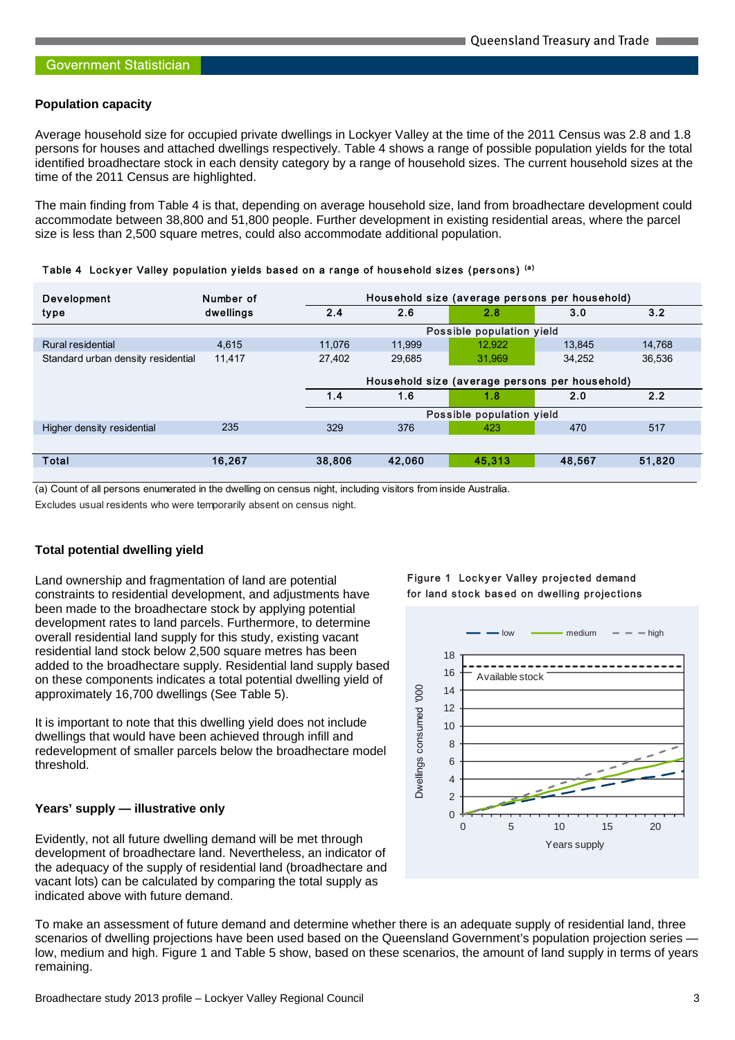#### **Population capacity**

Average household size for occupied private dwellings in Lockyer Valley at the time of the 2011 Census was 2.8 and 1.8 persons for houses and attached dwellings respectively. Table 4 shows a range of possible population yields for the total identified broadhectare stock in each density category by a range of household sizes. The current household sizes at the time of the 2011 Census are highlighted.

The main finding from Table 4 is that, depending on average household size, land from broadhectare development could accommodate between 38,800 and 51,800 people. Further development in existing residential areas, where the parcel size is less than 2,500 square metres, could also accommodate additional population.

| Development                        | Number of | Household size (average persons per household) |        |                           |        |        |
|------------------------------------|-----------|------------------------------------------------|--------|---------------------------|--------|--------|
| type                               | dwellings | 2.4                                            | 2.6    | 2.8                       | 3.0    | 3.2    |
|                                    |           |                                                |        | Possible population yield |        |        |
| Rural residential                  | 4.615     | 11.076                                         | 11.999 | 12.922                    | 13.845 | 14.768 |
| Standard urban density residential | 11,417    | 27.402                                         | 29.685 | 31.969                    | 34.252 | 36,536 |
|                                    |           | Household size (average persons per household) |        |                           |        |        |
|                                    |           | 1.4                                            | 1.6    | 1.8                       | 2.0    | 2.2    |
|                                    |           |                                                |        | Possible population yield |        |        |
| Higher density residential         | 235       | 329                                            | 376    | 423                       | 470    | 517    |
|                                    |           |                                                |        |                           |        |        |
| <b>Total</b>                       | 16.267    | 38,806                                         | 42.060 | 45.313                    | 48.567 | 51,820 |
|                                    |           |                                                |        |                           |        |        |

Table 4 Lockyer Valley population yields based on a range of household sizes (persons) (a)

(a) Count of all persons enumerated in the dwelling on census night, including visitors from inside Australia.

Excludes usual residents who were temporarily absent on census night.

#### **Total potential dwelling yield**

Land ownership and fragmentation of land are potential constraints to residential development, and adjustments have been made to the broadhectare stock by applying potential development rates to land parcels. Furthermore, to determine overall residential land supply for this study, existing vacant residential land stock below 2,500 square metres has been added to the broadhectare supply. Residential land supply based on these components indicates a total potential dwelling yield of approximately 16,700 dwellings (See Table 5).

It is important to note that this dwelling yield does not include dwellings that would have been achieved through infill and redevelopment of smaller parcels below the broadhectare model threshold.

#### **Years' supply — illustrative only**

Evidently, not all future dwelling demand will be met through development of broadhectare land. Nevertheless, an indicator of the adequacy of the supply of residential land (broadhectare and vacant lots) can be calculated by comparing the total supply as indicated above with future demand.





To make an assessment of future demand and determine whether there is an adequate supply of residential land, three scenarios of dwelling projections have been used based on the Queensland Government's population projection series low, medium and high. Figure 1 and Table 5 show, based on these scenarios, the amount of land supply in terms of years remaining.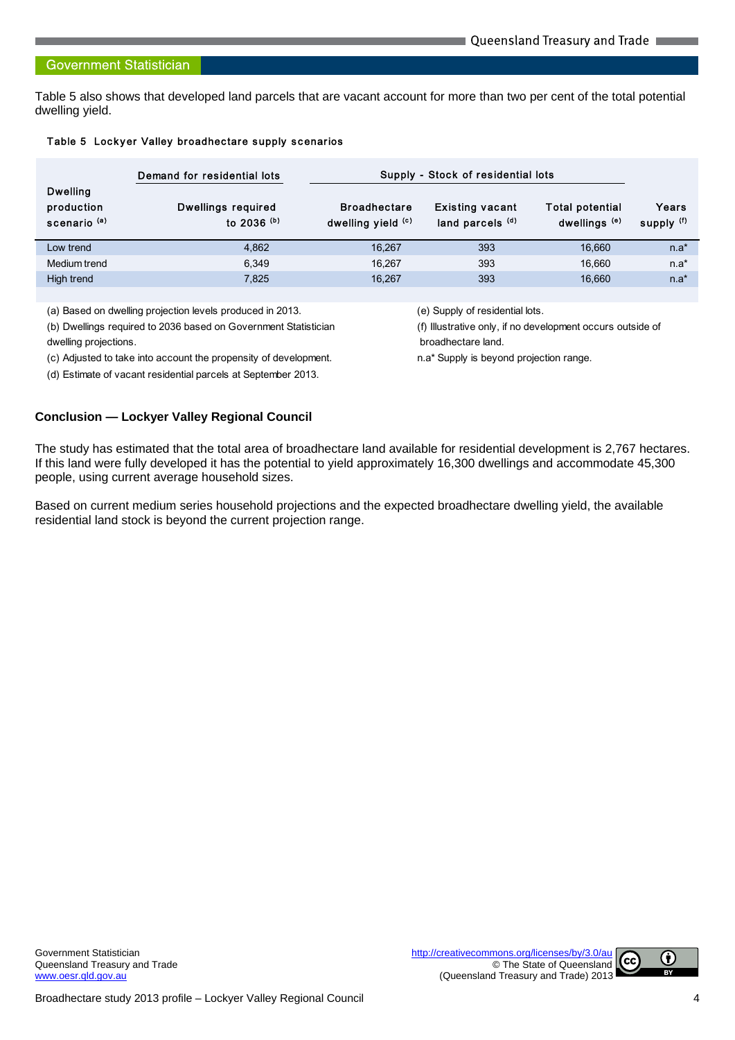#### **Government Statistician**

Table 5 also shows that developed land parcels that are vacant account for more than two per cent of the total potential dwelling yield.

#### Table 5 Lockyer Valley broadhectare supply scenarios

|                                                          | Demand for residential lots         | Supply - Stock of residential lots        |                                            |                                                    |                     |
|----------------------------------------------------------|-------------------------------------|-------------------------------------------|--------------------------------------------|----------------------------------------------------|---------------------|
| <b>Dwelling</b><br>production<br>scenario <sup>(a)</sup> | Dwellings required<br>to 2036 $(b)$ | <b>Broadhectare</b><br>dwelling yield (c) | <b>Existing vacant</b><br>land parcels (d) | <b>Total potential</b><br>dwellings <sup>(e)</sup> | Years<br>supply (f) |
| Low trend                                                | 4.862                               | 16.267                                    | 393                                        | 16.660                                             | $n.a*$              |
| Medium trend                                             | 6.349                               | 16.267                                    | 393                                        | 16.660                                             | $n.a*$              |
| High trend                                               | 7.825                               | 16.267                                    | 393                                        | 16.660                                             | $n.a*$              |

(a) Based on dwelling projection levels produced in 2013. (e) Supply of residential lots.

(b) Dwellings required to 2036 based on Government Statistician (f) Illustrative only, if no development occurs outside of

dwelling projections. **broadhectare land**.

(c) Adjusted to take into account the propensity of development. n.a\* Supply is beyond projection range.

(d) Estimate of vacant residential parcels at September 2013.

#### **Conclusion — Lockyer Valley Regional Council**

The study has estimated that the total area of broadhectare land available for residential development is 2,767 hectares. If this land were fully developed it has the potential to yield approximately 16,300 dwellings and accommodate 45,300 people, using current average household sizes.

Based on current medium series household projections and the expected broadhectare dwelling yield, the available residential land stock is beyond the current projection range.